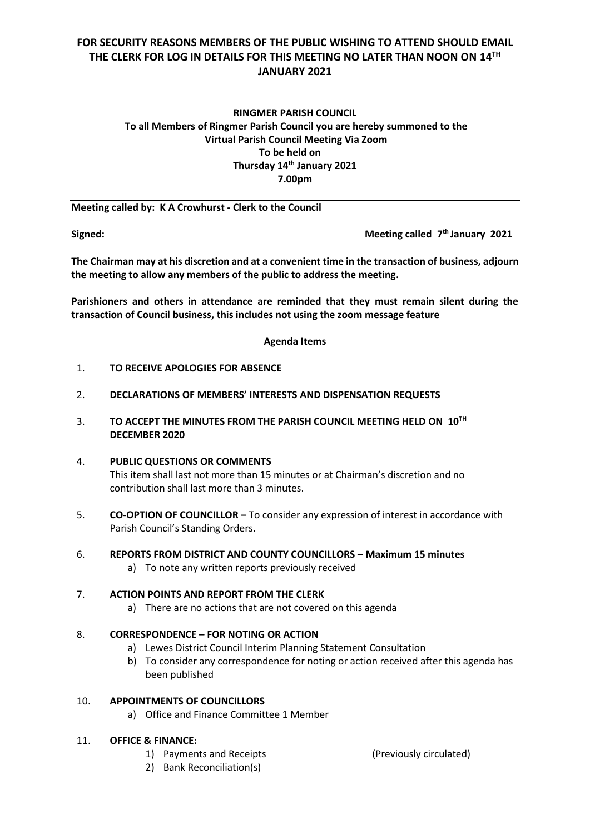# **FOR SECURITY REASONS MEMBERS OF THE PUBLIC WISHING TO ATTEND SHOULD EMAIL THE CLERK FOR LOG IN DETAILS FOR THIS MEETING NO LATER THAN NOON ON 14TH JANUARY 2021**

## **RINGMER PARISH COUNCIL To all Members of Ringmer Parish Council you are hereby summoned to the Virtual Parish Council Meeting Via Zoom To be held on Thursday 14 th January 2021 7.00pm**

**Meeting called by: K A Crowhurst - Clerk to the Council** 

**Signed: Meeting called 7 th January 2021**

**The Chairman may at his discretion and at a convenient time in the transaction of business, adjourn the meeting to allow any members of the public to address the meeting.**

**Parishioners and others in attendance are reminded that they must remain silent during the transaction of Council business, this includes not using the zoom message feature**

#### **Agenda Items**

- 1. **TO RECEIVE APOLOGIES FOR ABSENCE**
- 2. **DECLARATIONS OF MEMBERS' INTERESTS AND DISPENSATION REQUESTS**
- 3. **TO ACCEPT THE MINUTES FROM THE PARISH COUNCIL MEETING HELD ON 10 TH DECEMBER 2020**
- 4. **PUBLIC QUESTIONS OR COMMENTS**  This item shall last not more than 15 minutes or at Chairman's discretion and no contribution shall last more than 3 minutes.
- 5. **CO-OPTION OF COUNCILLOR –** To consider any expression of interest in accordance with Parish Council's Standing Orders.
- 6. **REPORTS FROM DISTRICT AND COUNTY COUNCILLORS – Maximum 15 minutes**
	- a) To note any written reports previously received

## 7. **ACTION POINTS AND REPORT FROM THE CLERK**

a) There are no actions that are not covered on this agenda

## 8. **CORRESPONDENCE – FOR NOTING OR ACTION**

- a) Lewes District Council Interim Planning Statement Consultation
- b) To consider any correspondence for noting or action received after this agenda has been published

#### 10. **APPOINTMENTS OF COUNCILLORS**

a) Office and Finance Committee 1 Member

## 11. **OFFICE & FINANCE:**

- 1) Payments and Receipts (Previously circulated)
- 2) Bank Reconciliation(s)